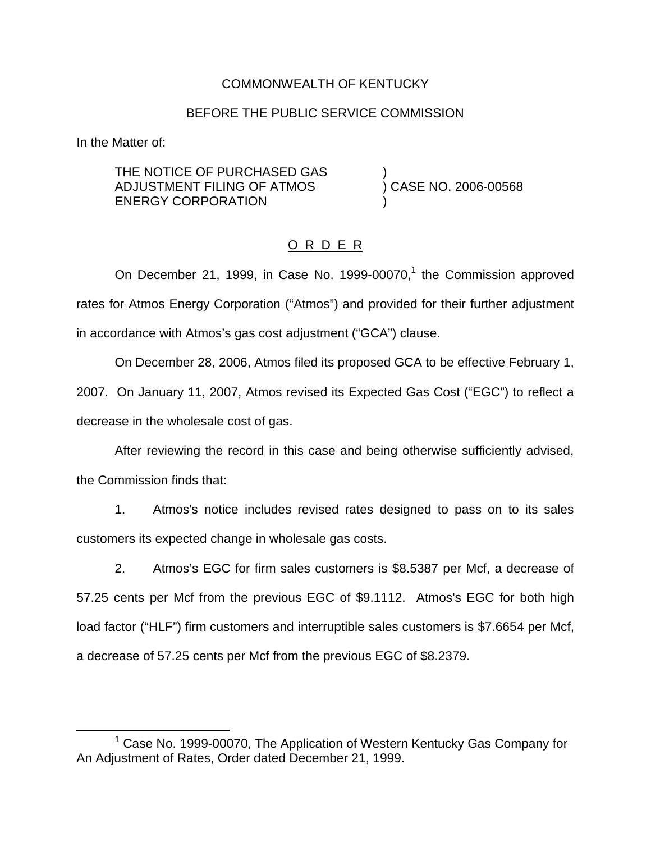## COMMONWEALTH OF KENTUCKY

### BEFORE THE PUBLIC SERVICE COMMISSION

In the Matter of:

THE NOTICE OF PURCHASED GAS )<br>ADJUSTMENT FILING OF ATMOS ) CASE NO. 2006-00568 ADJUSTMENT FILING OF ATMOS ENERGY CORPORATION

## O R D E R

On December 21, 1999, in Case No. 1999-00070,<sup>1</sup> the Commission approved rates for Atmos Energy Corporation ("Atmos") and provided for their further adjustment in accordance with Atmos's gas cost adjustment ("GCA") clause.

On December 28, 2006, Atmos filed its proposed GCA to be effective February 1, 2007. On January 11, 2007, Atmos revised its Expected Gas Cost ("EGC") to reflect a decrease in the wholesale cost of gas.

After reviewing the record in this case and being otherwise sufficiently advised, the Commission finds that:

1. Atmos's notice includes revised rates designed to pass on to its sales customers its expected change in wholesale gas costs.

2. Atmos's EGC for firm sales customers is \$8.5387 per Mcf, a decrease of 57.25 cents per Mcf from the previous EGC of \$9.1112. Atmos's EGC for both high load factor ("HLF") firm customers and interruptible sales customers is \$7.6654 per Mcf, a decrease of 57.25 cents per Mcf from the previous EGC of \$8.2379.

 $1$  Case No. 1999-00070. The Application of Western Kentucky Gas Company for An Adjustment of Rates, Order dated December 21, 1999.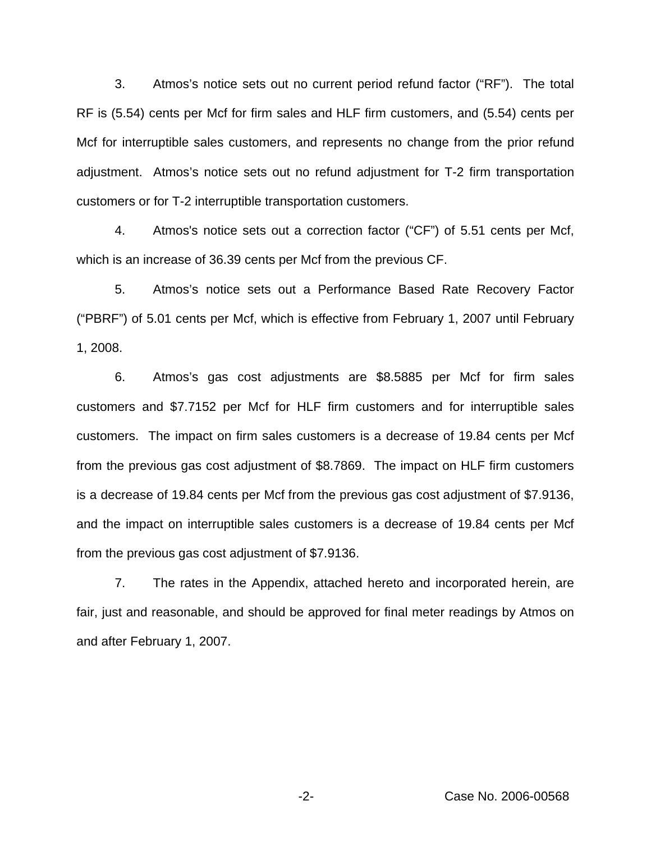3. Atmos's notice sets out no current period refund factor ("RF"). The total RF is (5.54) cents per Mcf for firm sales and HLF firm customers, and (5.54) cents per Mcf for interruptible sales customers, and represents no change from the prior refund adjustment. Atmos's notice sets out no refund adjustment for T-2 firm transportation customers or for T-2 interruptible transportation customers.

4. Atmos's notice sets out a correction factor ("CF") of 5.51 cents per Mcf, which is an increase of 36.39 cents per Mcf from the previous CF.

5. Atmos's notice sets out a Performance Based Rate Recovery Factor ("PBRF") of 5.01 cents per Mcf, which is effective from February 1, 2007 until February 1, 2008.

6. Atmos's gas cost adjustments are \$8.5885 per Mcf for firm sales customers and \$7.7152 per Mcf for HLF firm customers and for interruptible sales customers. The impact on firm sales customers is a decrease of 19.84 cents per Mcf from the previous gas cost adjustment of \$8.7869. The impact on HLF firm customers is a decrease of 19.84 cents per Mcf from the previous gas cost adjustment of \$7.9136, and the impact on interruptible sales customers is a decrease of 19.84 cents per Mcf from the previous gas cost adjustment of \$7.9136.

7. The rates in the Appendix, attached hereto and incorporated herein, are fair, just and reasonable, and should be approved for final meter readings by Atmos on and after February 1, 2007.

-2- Case No. 2006-00568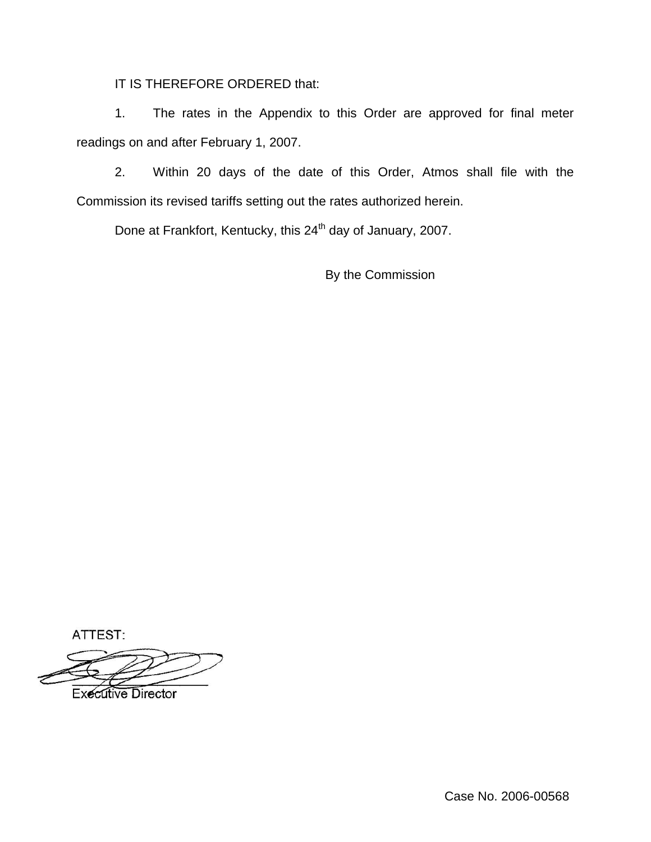IT IS THEREFORE ORDERED that:

1. The rates in the Appendix to this Order are approved for final meter readings on and after February 1, 2007.

2. Within 20 days of the date of this Order, Atmos shall file with the Commission its revised tariffs setting out the rates authorized herein.

Done at Frankfort, Kentucky, this 24<sup>th</sup> day of January, 2007.

By the Commission

ATTEST:

**Executive Director** 

Case No. 2006-00568